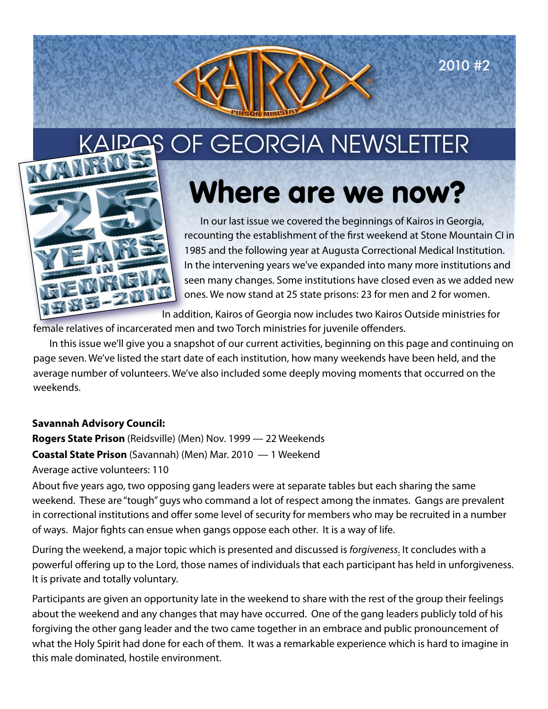2010 #2



# Where are we now?

In our last issue we covered the beginnings of Kairos in Georgia, recounting the establishment of the first weekend at Stone Mountain CI in 1985 and the following year at Augusta Correctional Medical Institution. In the intervening years we've expanded into many more institutions and seen many changes. Some institutions have closed even as we added new ones. We now stand at 25 state prisons: 23 for men and 2 for women.

In addition, Kairos of Georgia now includes two Kairos Outside ministries for

female relatives of incarcerated men and two Torch ministries for juvenile offenders.

In this issue we'll give you a snapshot of our current activities, beginning on this page and continuing on page seven. We've listed the start date of each institution, how many weekends have been held, and the average number of volunteers. We've also included some deeply moving moments that occurred on the weekends.

### **Savannah Advisory Council:**

**Rogers State Prison** (Reidsville) (Men) Nov. 1999 — 22 Weekends **Coastal State Prison** (Savannah) (Men) Mar. 2010 — 1 Weekend Average active volunteers: 110

About five years ago, two opposing gang leaders were at separate tables but each sharing the same weekend. These are "tough" guys who command a lot of respect among the inmates. Gangs are prevalent in correctional institutions and offer some level of security for members who may be recruited in a number of ways. Major fights can ensue when gangs oppose each other. It is a way of life.

During the weekend, a major topic which is presented and discussed is forgiveness. It concludes with a powerful offering up to the Lord, those names of individuals that each participant has held in unforgiveness. It is private and totally voluntary.

Participants are given an opportunity late in the weekend to share with the rest of the group their feelings about the weekend and any changes that may have occurred. One of the gang leaders publicly told of his forgiving the other gang leader and the two came together in an embrace and public pronouncement of what the Holy Spirit had done for each of them. It was a remarkable experience which is hard to imagine in this male dominated, hostile environment.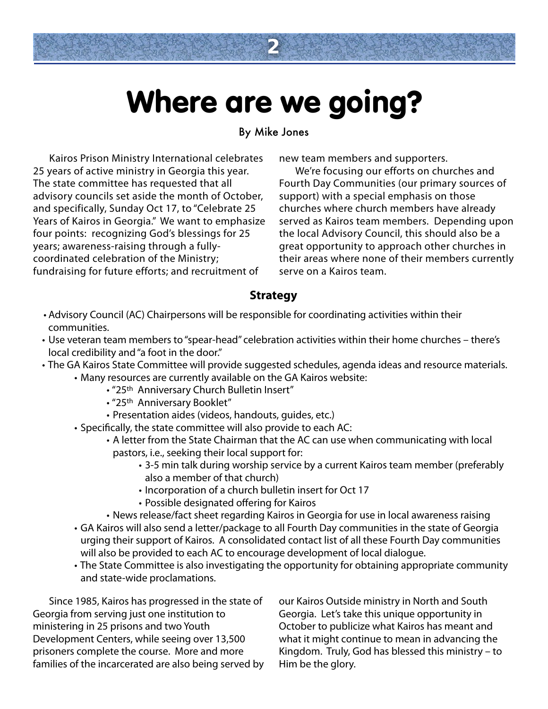## Where are we going?

**2**

#### By Mike Jones

Kairos Prison Ministry International celebrates 25 years of active ministry in Georgia this year. The state committee has requested that all advisory councils set aside the month of October, and specifically, Sunday Oct 17, to "Celebrate 25 Years of Kairos in Georgia." We want to emphasize four points: recognizing God's blessings for 25 years; awareness-raising through a fullycoordinated celebration of the Ministry; fundraising for future efforts; and recruitment of

new team members and supporters.

We're focusing our efforts on churches and Fourth Day Communities (our primary sources of support) with a special emphasis on those churches where church members have already served as Kairos team members. Depending upon the local Advisory Council, this should also be a great opportunity to approach other churches in their areas where none of their members currently serve on a Kairos team.

#### **Strategy**

- Advisory Council (AC) Chairpersons will be responsible for coordinating activities within their communities.
- Use veteran team members to "spear-head" celebration activities within their home churches there's local credibility and "a foot in the door."
- The GA Kairos State Committee will provide suggested schedules, agenda ideas and resource materials.
	- Many resources are currently available on the GA Kairos website:
		- "25th Anniversary Church Bulletin Insert"
		- "25<sup>th</sup> Anniversary Booklet"
		- Presentation aides (videos, handouts, guides, etc.)
	- Specifically, the state committee will also provide to each AC:
		- A letter from the State Chairman that the AC can use when communicating with local pastors, i.e., seeking their local support for:
			- 3-5 min talk during worship service by a current Kairos team member (preferably also a member of that church)
			- Incorporation of a church bulletin insert for Oct 17
			- Possible designated offering for Kairos
		- News release/fact sheet regarding Kairos in Georgia for use in local awareness raising
	- GA Kairos will also send a letter/package to all Fourth Day communities in the state of Georgia urging their support of Kairos. A consolidated contact list of all these Fourth Day communities will also be provided to each AC to encourage development of local dialogue.
	- The State Committee is also investigating the opportunity for obtaining appropriate community and state-wide proclamations.

Since 1985, Kairos has progressed in the state of Georgia from serving just one institution to ministering in 25 prisons and two Youth Development Centers, while seeing over 13,500 prisoners complete the course. More and more families of the incarcerated are also being served by our Kairos Outside ministry in North and South Georgia. Let's take this unique opportunity in October to publicize what Kairos has meant and what it might continue to mean in advancing the Kingdom. Truly, God has blessed this ministry – to Him be the glory.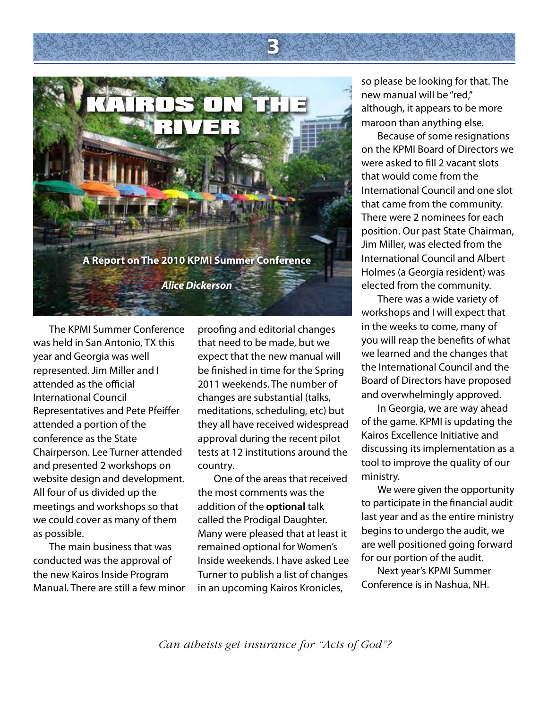

The KPMI Summer Conference was held in San Antonio, TX this year and Georgia was well represented. Jim Miller and I attended as the official International Council Representatives and Pete Pfeiffer attended a portion of the conference as the State Chairperson. Lee Turner attended and presented 2 workshops on website design and development. All four of us divided up the meetings and workshops so that we could cover as many of them as possible.

The main business that was conducted was the approval of the new Kairos Inside Program Manual. There are still a few minor proofing and editorial changes that need to be made, but we expect that the new manual will be finished in time for the Spring 2011 weekends. The number of changes are substantial (talks, meditations, scheduling, etc) but they all have received widespread approval during the recent pilot tests at 12 institutions around the country.

**3**

One of the areas that received the most comments was the addition of the **optional** talk called the Prodigal Daughter. Many were pleased that at least it remained optional for Women's Inside weekends. I have asked Lee Turner to publish a list of changes in an upcoming Kairos Kronicles,

so please be looking for that. The new manual will be "red," although, it appears to be more maroon than anything else.

Because of some resignations on the KPMI Board of Directors we were asked to fill 2 vacant slots that would come from the International Council and one slot that came from the community. There were 2 nominees for each position. Our past State Chairman, Jim Miller, was elected from the International Council and Albert Holmes (a Georgia resident) was elected from the community.

There was a wide variety of workshops and I will expect that in the weeks to come, many of you will reap the benefits of what we learned and the changes that the International Council and the Board of Directors have proposed and overwhelmingly approved.

In Georgia, we are way ahead of the game. KPMI is updating the Kairos Excellence Initiative and discussing its implementation as a tool to improve the quality of our ministry.

We were given the opportunity to participate in the financial audit last year and as the entire ministry begins to undergo the audit, we are well positioned going forward for our portion of the audit.

Next year's KPMI Summer Conference is in Nashua, NH.

*Can atheists get insurance for "Acts of God"?*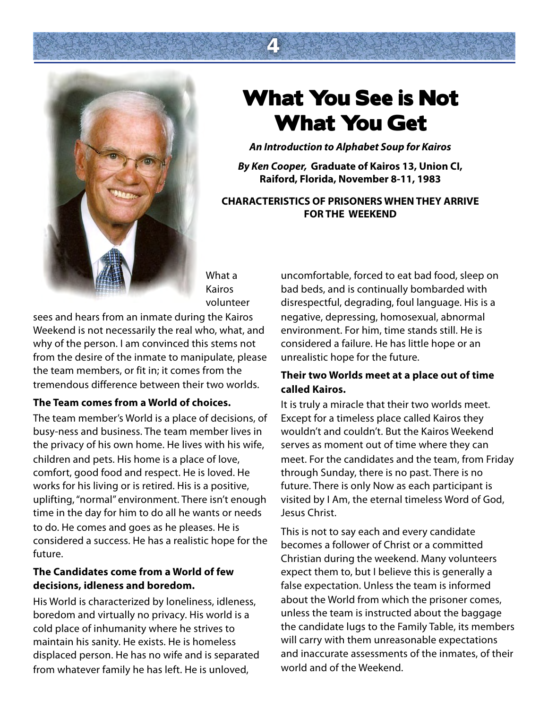

### What You See is Not What You Get

**4**

**An Introduction to Alphabet Soup for Kairos**

**By Ken Cooper, Graduate of Kairos 13, Union CI, Raiford, Florida, November 8-11, 1983**

#### **CHARACTERISTICS OF PRISONERS WHEN THEY ARRIVE FOR THE WEEKEND**

What a Kairos volunteer

sees and hears from an inmate during the Kairos Weekend is not necessarily the real who, what, and why of the person. I am convinced this stems not from the desire of the inmate to manipulate, please the team members, or fit in; it comes from the tremendous difference between their two worlds.

#### **The Team comes from a World of choices.**

The team member's World is a place of decisions, of busy-ness and business. The team member lives in the privacy of his own home. He lives with his wife, children and pets. His home is a place of love, comfort, good food and respect. He is loved. He works for his living or is retired. His is a positive, uplifting, "normal" environment. There isn't enough time in the day for him to do all he wants or needs to do. He comes and goes as he pleases. He is considered a success. He has a realistic hope for the future.

#### **The Candidates come from a World of few decisions, idleness and boredom.**

His World is characterized by loneliness, idleness, boredom and virtually no privacy. His world is a cold place of inhumanity where he strives to maintain his sanity. He exists. He is homeless displaced person. He has no wife and is separated from whatever family he has left. He is unloved,

uncomfortable, forced to eat bad food, sleep on bad beds, and is continually bombarded with disrespectful, degrading, foul language. His is a negative, depressing, homosexual, abnormal environment. For him, time stands still. He is considered a failure. He has little hope or an unrealistic hope for the future.

### **Their two Worlds meet at a place out of time called Kairos.**

It is truly a miracle that their two worlds meet. Except for a timeless place called Kairos they wouldn't and couldn't. But the Kairos Weekend serves as moment out of time where they can meet. For the candidates and the team, from Friday through Sunday, there is no past. There is no future. There is only Now as each participant is visited by I Am, the eternal timeless Word of God, Jesus Christ.

This is not to say each and every candidate becomes a follower of Christ or a committed Christian during the weekend. Many volunteers expect them to, but I believe this is generally a false expectation. Unless the team is informed about the World from which the prisoner comes, unless the team is instructed about the baggage the candidate lugs to the Family Table, its members will carry with them unreasonable expectations and inaccurate assessments of the inmates, of their world and of the Weekend.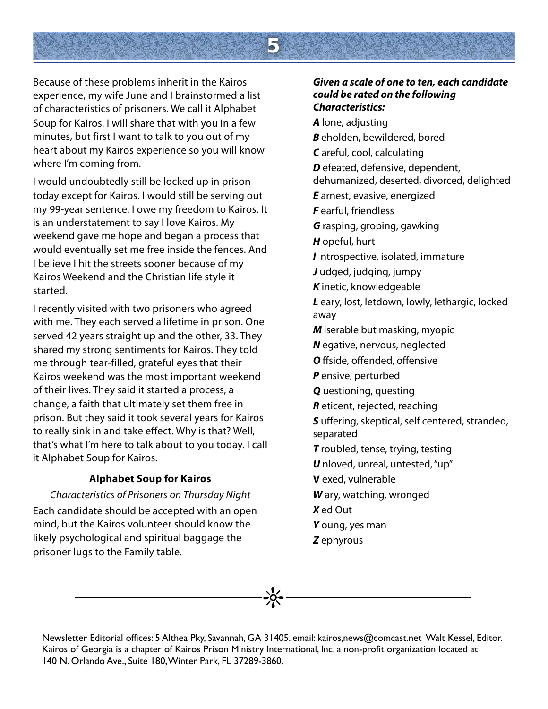

Because of these problems inherit in the Kairos experience, my wife June and I brainstormed a list of characteristics of prisoners. We call it Alphabet Soup for Kairos. I will share that with you in a few minutes, but first I want to talk to you out of my heart about my Kairos experience so you will know where I'm coming from.

I would undoubtedly still be locked up in prison today except for Kairos. I would still be serving out my 99-year sentence. I owe my freedom to Kairos. It is an understatement to say I love Kairos. My weekend gave me hope and began a process that would eventually set me free inside the fences. And I believe I hit the streets sooner because of my Kairos Weekend and the Christian life style it started.

I recently visited with two prisoners who agreed with me. They each served a lifetime in prison. One served 42 years straight up and the other, 33. They shared my strong sentiments for Kairos. They told me through tear-filled, grateful eyes that their Kairos weekend was the most important weekend of their lives. They said it started a process, a change, a faith that ultimately set them free in prison. But they said it took several years for Kairos to really sink in and take effect. Why is that? Well, that's what I'm here to talk about to you today. I call it Alphabet Soup for Kairos.

#### **Alphabet Soup for Kairos**

#### Characteristics of Prisoners on Thursday Night

Each candidate should be accepted with an open mind, but the Kairos volunteer should know the likely psychological and spiritual baggage the prisoner lugs to the Family table.

#### **Given a scale of one to ten, each candidate could be rated on the following Characteristics:**

**A** lone, adjusting **B** eholden, bewildered, bored **C** areful, cool, calculating **D** efeated, defensive, dependent, dehumanized, deserted, divorced, delighted **E** arnest, evasive, energized **F** earful, friendless **G** rasping, groping, gawking **H** opeful, hurt **I** ntrospective, isolated, immature **J** udged, judging, jumpy **K** inetic, knowledgeable **L** eary, lost, letdown, lowly, lethargic, locked away **M** iserable but masking, myopic **N** egative, nervous, neglected **O** ffside, offended, offensive **P** ensive, perturbed **Q** uestioning, questing **R** eticent, rejected, reaching **S** uffering, skeptical, self centered, stranded, separated **T** roubled, tense, trying, testing **U** nloved, unreal, untested, "up" **V** exed, vulnerable **W** ary, watching, wronged **X** ed Out **Y** oung, yes man **Z** ephyrous

 $\frac{1}{2}$ 

Newsletter Editorial offices: 5 Althea Pky, Savannah, GA 31405. email: kairos,news@comcast.net Walt Kessel, Editor. Kairos of Georgia is a chapter of Kairos Prison Ministry International, Inc. a non-profit organization located at 140 N. Orlando Ave., Suite 180, Winter Park, FL 37289-3860.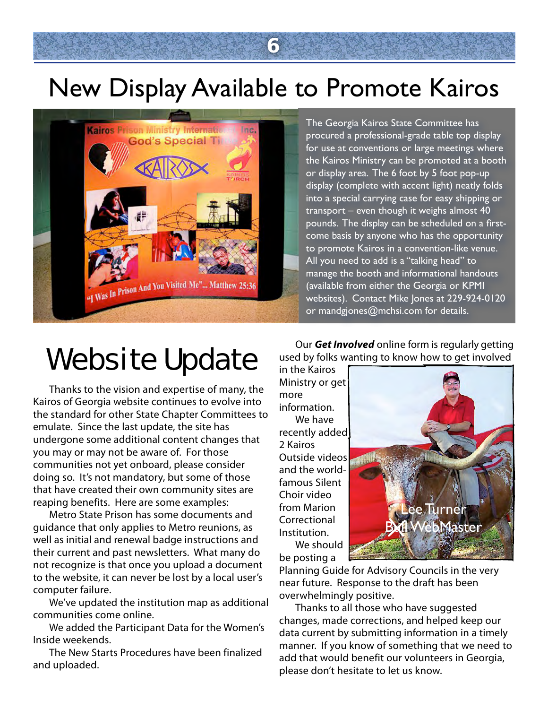### New Display Available to Promote Kairos

**6**



The Georgia Kairos State Committee has procured a professional-grade table top display for use at conventions or large meetings where the Kairos Ministry can be promoted at a booth or display area. The 6 foot by 5 foot pop-up display (complete with accent light) neatly folds into a special carrying case for easy shipping or transport – even though it weighs almost 40 pounds. The display can be scheduled on a firstcome basis by anyone who has the opportunity to promote Kairos in a convention-like venue. All you need to add is a "talking head" to manage the booth and informational handouts (available from either the Georgia or KPMI websites). Contact Mike Jones at 229-924-0120 or [mandgjones@mchsi.com](mailto:mandgjones@mchsi.com) for details.

### Website Update

Thanks to the vision and expertise of many, the Kairos of Georgia website continues to evolve into the standard for other State Chapter Committees to emulate. Since the last update, the site has undergone some additional content changes that you may or may not be aware of. For those communities not yet onboard, please consider doing so. It's not mandatory, but some of those that have created their own community sites are reaping benefits. Here are some examples:

Metro State Prison has some documents and guidance that only applies to Metro reunions, as well as initial and renewal badge instructions and their current and past newsletters. What many do not recognize is that once you upload a document to the website, it can never be lost by a local user's computer failure.

We've updated the institution map as additional communities come online.

We added the Participant Data for the Women's Inside weekends.

The New Starts Procedures have been finalized and uploaded.

Our **Get Involved** online form is regularly getting used by folks wanting to know how to get involved

in the Kairos Ministry or get more information.

We have recently added 2 Kairos Outside videos and the worldfamous Silent Choir video from Marion Correctional Institution. We should be posting a



Planning Guide for Advisory Councils in the very near future. Response to the draft has been overwhelmingly positive.

Thanks to all those who have suggested changes, made corrections, and helped keep our data current by submitting information in a timely manner. If you know of something that we need to add that would benefit our volunteers in Georgia, please don't hesitate to let us know.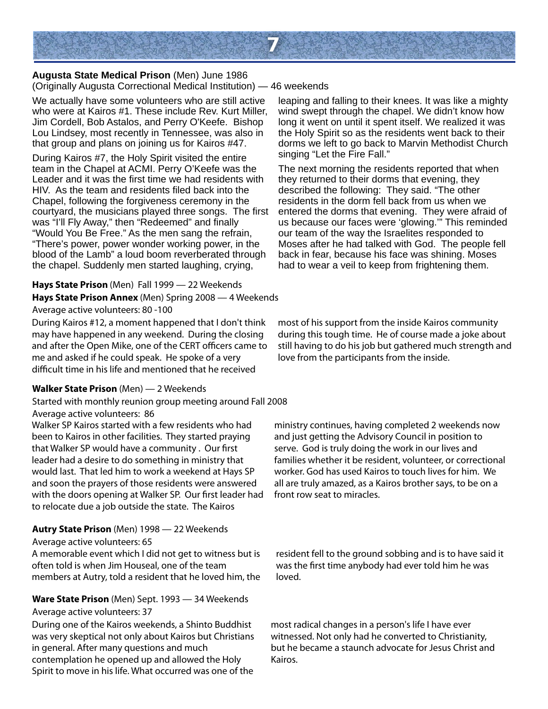

**Augusta State Medical Prison** (Men) June 1986 (Originally Augusta Correctional Medical Institution) — 46 weekends

We actually have some volunteers who are still active who were at Kairos #1. These include Rev. Kurt Miller, Jim Cordell, Bob Astalos, and Perry O'Keefe. Bishop Lou Lindsey, most recently in Tennessee, was also in that group and plans on joining us for Kairos #47.

During Kairos #7, the Holy Spirit visited the entire team in the Chapel at ACMI. Perry O'Keefe was the Leader and it was the first time we had residents with HIV. As the team and residents filed back into the Chapel, following the forgiveness ceremony in the courtyard, the musicians played three songs. The first was "I'll Fly Away," then "Redeemed" and finally "Would You Be Free." As the men sang the refrain, "There's power, power wonder working power, in the blood of the Lamb" a loud boom reverberated through the chapel. Suddenly men started laughing, crying,

#### **Hays State Prison** (Men) Fall 1999 — 22 Weekends

**Hays State Prison Annex** (Men) Spring 2008 — 4 Weekends

Average active volunteers: 80 -100

During Kairos #12, a moment happened that I don't think may have happened in any weekend. During the closing and after the Open Mike, one of the CERT officers came to me and asked if he could speak. He spoke of a very difficult time in his life and mentioned that he received

#### **Walker State Prison** (Men) — 2 Weekends

Started with monthly reunion group meeting around Fall 2008 Average active volunteers: 86 Walker SP Kairos started with a few residents who had been to Kairos in other facilities. They started praying

that Walker SP would have a community . Our first leader had a desire to do something in ministry that would last. That led him to work a weekend at Hays SP and soon the prayers of those residents were answered with the doors opening at Walker SP. Our first leader had to relocate due a job outside the state. The Kairos

#### **Autry State Prison** (Men) 1998 — 22 Weekends

Average active volunteers: 65

A memorable event which I did not get to witness but is often told is when Jim Houseal, one of the team members at Autry, told a resident that he loved him, the

#### **Ware State Prison** (Men) Sept. 1993 — 34 Weekends Average active volunteers: 37

During one of the Kairos weekends, a Shinto Buddhist was very skeptical not only about Kairos but Christians in general. After many questions and much contemplation he opened up and allowed the Holy Spirit to move in his life. What occurred was one of the

leaping and falling to their knees. It was like a mighty wind swept through the chapel. We didn't know how long it went on until it spent itself. We realized it was the Holy Spirit so as the residents went back to their dorms we left to go back to Marvin Methodist Church singing "Let the Fire Fall."

The next morning the residents reported that when they returned to their dorms that evening, they described the following: They said. "The other residents in the dorm fell back from us when we entered the dorms that evening. They were afraid of us because our faces were 'glowing." This reminded our team of the way the Israelites responded to Moses after he had talked with God. The people fell back in fear, because his face was shining. Moses had to wear a veil to keep from frightening them.

most of his support from the inside Kairos community during this tough time. He of course made a joke about still having to do his job but gathered much strength and love from the participants from the inside.

ministry continues, having completed 2 weekends now and just getting the Advisory Council in position to serve. God is truly doing the work in our lives and families whether it be resident, volunteer, or correctional worker. God has used Kairos to touch lives for him. We all are truly amazed, as a Kairos brother says, to be on a front row seat to miracles.

resident fell to the ground sobbing and is to have said it was the first time anybody had ever told him he was loved.

most radical changes in a person's life I have ever witnessed. Not only had he converted to Christianity, but he became a staunch advocate for Jesus Christ and Kairos.